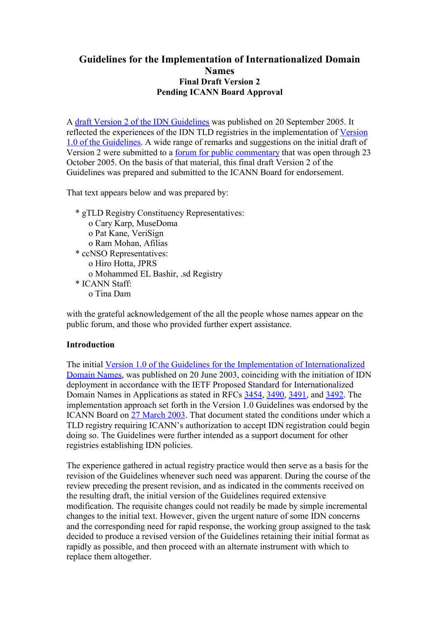## **Guidelines for the Implementation of Internationalized Domain Names Final Draft Version 2 Pending ICANN Board Approval**

A draft Version 2 of the IDN Guidelines was published on 20 September 2005. It reflected the experiences of the IDN TLD registries in the implementation of Version 1.0 of the Guidelines. A wide range of remarks and suggestions on the initial draft of Version 2 were submitted to a forum for public commentary that was open through 23 October 2005. On the basis of that material, this final draft Version 2 of the Guidelines was prepared and submitted to the ICANN Board for endorsement.

That text appears below and was prepared by:

 \* gTLD Registry Constituency Representatives: o Cary Karp, MuseDoma o Pat Kane, VeriSign o Ram Mohan, Afilias \* ccNSO Representatives: o Hiro Hotta, JPRS o Mohammed EL Bashir, .sd Registry \* ICANN Staff: o Tina Dam

with the grateful acknowledgement of the all the people whose names appear on the public forum, and those who provided further expert assistance.

## **Introduction**

The initial Version 1.0 of the Guidelines for the Implementation of Internationalized Domain Names, was published on 20 June 2003, coinciding with the initiation of IDN deployment in accordance with the IETF Proposed Standard for Internationalized Domain Names in Applications as stated in RFCs 3454, 3490, 3491, and 3492. The implementation approach set forth in the Version 1.0 Guidelines was endorsed by the ICANN Board on 27 March 2003. That document stated the conditions under which a TLD registry requiring ICANN's authorization to accept IDN registration could begin doing so. The Guidelines were further intended as a support document for other registries establishing IDN policies.

The experience gathered in actual registry practice would then serve as a basis for the revision of the Guidelines whenever such need was apparent. During the course of the review preceding the present revision, and as indicated in the comments received on the resulting draft, the initial version of the Guidelines required extensive modification. The requisite changes could not readily be made by simple incremental changes to the initial text. However, given the urgent nature of some IDN concerns and the corresponding need for rapid response, the working group assigned to the task decided to produce a revised version of the Guidelines retaining their initial format as rapidly as possible, and then proceed with an alternate instrument with which to replace them altogether.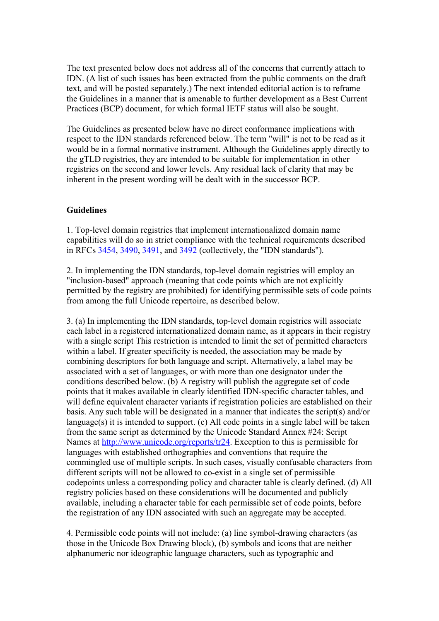The text presented below does not address all of the concerns that currently attach to IDN. (A list of such issues has been extracted from the public comments on the draft text, and will be posted separately.) The next intended editorial action is to reframe the Guidelines in a manner that is amenable to further development as a Best Current Practices (BCP) document, for which formal IETF status will also be sought.

The Guidelines as presented below have no direct conformance implications with respect to the IDN standards referenced below. The term "will" is not to be read as it would be in a formal normative instrument. Although the Guidelines apply directly to the gTLD registries, they are intended to be suitable for implementation in other registries on the second and lower levels. Any residual lack of clarity that may be inherent in the present wording will be dealt with in the successor BCP.

## **Guidelines**

1. Top-level domain registries that implement internationalized domain name capabilities will do so in strict compliance with the technical requirements described in RFCs 3454, 3490, 3491, and 3492 (collectively, the "IDN standards").

2. In implementing the IDN standards, top-level domain registries will employ an "inclusion-based" approach (meaning that code points which are not explicitly permitted by the registry are prohibited) for identifying permissible sets of code points from among the full Unicode repertoire, as described below.

3. (a) In implementing the IDN standards, top-level domain registries will associate each label in a registered internationalized domain name, as it appears in their registry with a single script This restriction is intended to limit the set of permitted characters within a label. If greater specificity is needed, the association may be made by combining descriptors for both language and script. Alternatively, a label may be associated with a set of languages, or with more than one designator under the conditions described below. (b) A registry will publish the aggregate set of code points that it makes available in clearly identified IDN-specific character tables, and will define equivalent character variants if registration policies are established on their basis. Any such table will be designated in a manner that indicates the script(s) and/or language(s) it is intended to support. (c) All code points in a single label will be taken from the same script as determined by the Unicode Standard Annex #24: Script Names at http://www.unicode.org/reports/tr24. Exception to this is permissible for languages with established orthographies and conventions that require the commingled use of multiple scripts. In such cases, visually confusable characters from different scripts will not be allowed to co-exist in a single set of permissible codepoints unless a corresponding policy and character table is clearly defined. (d) All registry policies based on these considerations will be documented and publicly available, including a character table for each permissible set of code points, before the registration of any IDN associated with such an aggregate may be accepted.

4. Permissible code points will not include: (a) line symbol-drawing characters (as those in the Unicode Box Drawing block), (b) symbols and icons that are neither alphanumeric nor ideographic language characters, such as typographic and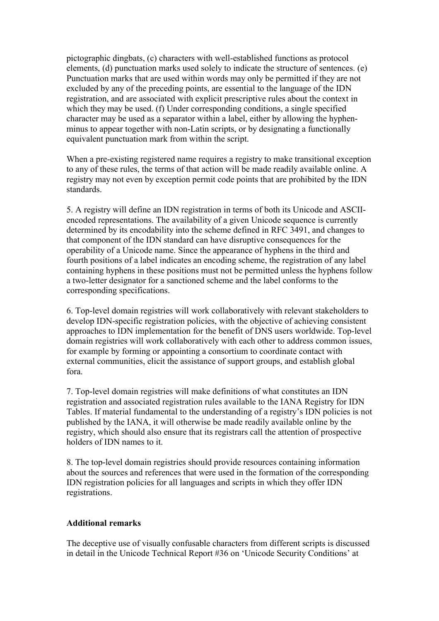pictographic dingbats, (c) characters with well-established functions as protocol elements, (d) punctuation marks used solely to indicate the structure of sentences. (e) Punctuation marks that are used within words may only be permitted if they are not excluded by any of the preceding points, are essential to the language of the IDN registration, and are associated with explicit prescriptive rules about the context in which they may be used. (f) Under corresponding conditions, a single specified character may be used as a separator within a label, either by allowing the hyphenminus to appear together with non-Latin scripts, or by designating a functionally equivalent punctuation mark from within the script.

When a pre-existing registered name requires a registry to make transitional exception to any of these rules, the terms of that action will be made readily available online. A registry may not even by exception permit code points that are prohibited by the IDN standards.

5. A registry will define an IDN registration in terms of both its Unicode and ASCIIencoded representations. The availability of a given Unicode sequence is currently determined by its encodability into the scheme defined in RFC 3491, and changes to that component of the IDN standard can have disruptive consequences for the operability of a Unicode name. Since the appearance of hyphens in the third and fourth positions of a label indicates an encoding scheme, the registration of any label containing hyphens in these positions must not be permitted unless the hyphens follow a two-letter designator for a sanctioned scheme and the label conforms to the corresponding specifications.

6. Top-level domain registries will work collaboratively with relevant stakeholders to develop IDN-specific registration policies, with the objective of achieving consistent approaches to IDN implementation for the benefit of DNS users worldwide. Top-level domain registries will work collaboratively with each other to address common issues, for example by forming or appointing a consortium to coordinate contact with external communities, elicit the assistance of support groups, and establish global fora.

7. Top-level domain registries will make definitions of what constitutes an IDN registration and associated registration rules available to the IANA Registry for IDN Tables. If material fundamental to the understanding of a registry's IDN policies is not published by the IANA, it will otherwise be made readily available online by the registry, which should also ensure that its registrars call the attention of prospective holders of IDN names to it.

8. The top-level domain registries should provide resources containing information about the sources and references that were used in the formation of the corresponding IDN registration policies for all languages and scripts in which they offer IDN registrations.

## **Additional remarks**

The deceptive use of visually confusable characters from different scripts is discussed in detail in the Unicode Technical Report #36 on 'Unicode Security Conditions' at